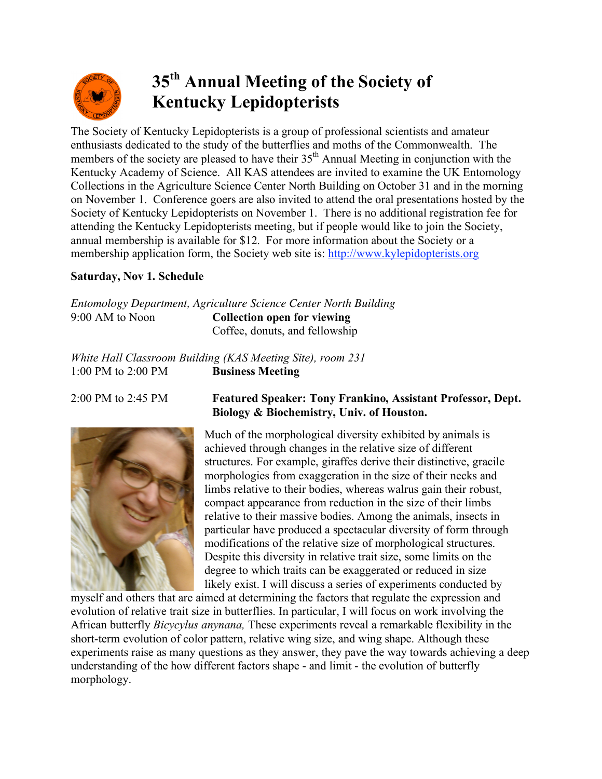

## **35th Annual Meeting of the Society of Kentucky Lepidopterists**

The Society of Kentucky Lepidopterists is a group of professional scientists and amateur enthusiasts dedicated to the study of the butterflies and moths of the Commonwealth. The members of the society are pleased to have their  $35<sup>th</sup>$  Annual Meeting in conjunction with the Kentucky Academy of Science. All KAS attendees are invited to examine the UK Entomology Collections in the Agriculture Science Center North Building on October 31 and in the morning on November 1. Conference goers are also invited to attend the oral presentations hosted by the Society of Kentucky Lepidopterists on November 1. There is no additional registration fee for attending the Kentucky Lepidopterists meeting, but if people would like to join the Society, annual membership is available for \$12. For more information about the Society or a membership application form, the Society web site is: http://www.kylepidopterists.org

## **Saturday, Nov 1. Schedule**

|                 | Entomology Department, Agriculture Science Center North Building |
|-----------------|------------------------------------------------------------------|
| 9:00 AM to Noon | Collection open for viewing                                      |
|                 | Coffee, donuts, and fellowship                                   |

*White Hall Classroom Building (KAS Meeting Site), room 231* 1:00 PM to 2:00 PM **Business Meeting**



## 2:00 PM to 2:45 PM **Featured Speaker: Tony Frankino, Assistant Professor, Dept. Biology & Biochemistry, Univ. of Houston.**

Much of the morphological diversity exhibited by animals is achieved through changes in the relative size of different structures. For example, giraffes derive their distinctive, gracile morphologies from exaggeration in the size of their necks and limbs relative to their bodies, whereas walrus gain their robust, compact appearance from reduction in the size of their limbs relative to their massive bodies. Among the animals, insects in particular have produced a spectacular diversity of form through modifications of the relative size of morphological structures. Despite this diversity in relative trait size, some limits on the degree to which traits can be exaggerated or reduced in size likely exist. I will discuss a series of experiments conducted by

myself and others that are aimed at determining the factors that regulate the expression and evolution of relative trait size in butterflies. In particular, I will focus on work involving the African butterfly *Bicycylus anynana,* These experiments reveal a remarkable flexibility in the short-term evolution of color pattern, relative wing size, and wing shape. Although these experiments raise as many questions as they answer, they pave the way towards achieving a deep understanding of the how different factors shape - and limit - the evolution of butterfly morphology.